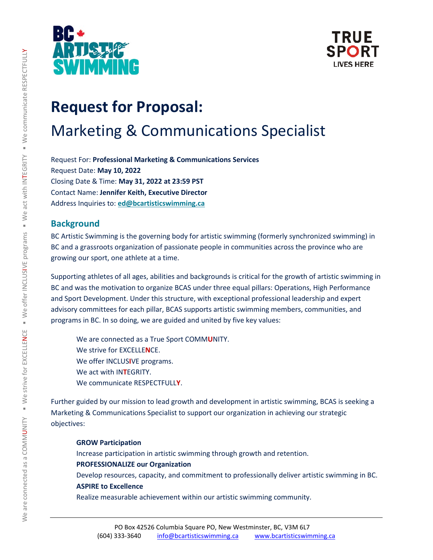



# **Request for Proposal:**  Marketing & Communications Specialist

Request For: **Professional Marketing & Communications Services** Request Date: **May 10, 2022** Closing Date & Time: **May 31, 2022 at 23:59 PST** Contact Name: **Jennifer Keith, Executive Director** Address Inquiries to: **[ed@bcartisticswimming.ca](mailto:ed@bcartisticswimming.ca)**

### **Background**

BC Artistic Swimming is the governing body for artistic swimming (formerly synchronized swimming) in BC and a grassroots organization of passionate people in communities across the province who are growing our sport, one athlete at a time.

Supporting athletes of all ages, abilities and backgrounds is critical for the growth of artistic swimming in BC and was the motivation to organize BCAS under three equal pillars: Operations, High Performance and Sport Development. Under this structure, with exceptional professional leadership and expert advisory committees for each pillar, BCAS supports artistic swimming members, communities, and programs in BC. In so doing, we are guided and united by five key values:

We are connected as a True Sport COMM**U**NITY. We strive for EXCELLE**N**CE. We offer INCLUS**I**VE programs. We act with IN**T**EGRITY. We communicate RESPECTFULL**Y**.

Further guided by our mission to lead growth and development in artistic swimming, BCAS is seeking a Marketing & Communications Specialist to support our organization in achieving our strategic objectives:

#### **GROW Participation**

Increase participation in artistic swimming through growth and retention. **PROFESSIONALIZE our Organization** Develop resources, capacity, and commitment to professionally deliver artistic swimming in BC. **ASPIRE to Excellence**

Realize measurable achievement within our artistic swimming community.

 $\succ$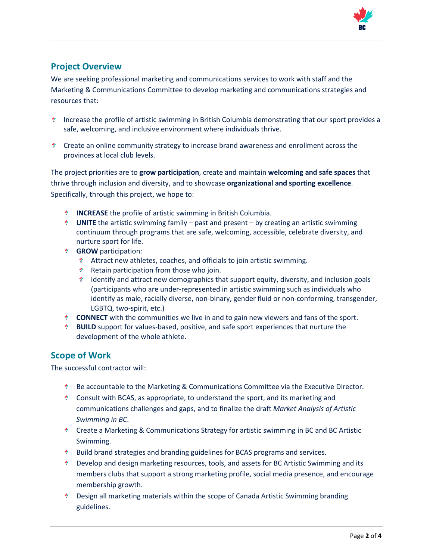

# **Project Overview**

We are seeking professional marketing and communications services to work with staff and the Marketing & Communications Committee to develop marketing and communications strategies and resources that:

- Increase the profile of artistic swimming in British Columbia demonstrating that our sport provides a safe, welcoming, and inclusive environment where individuals thrive.
- Create an online community strategy to increase brand awareness and enrollment across the provinces at local club levels.

The project priorities are to **grow participation**, create and maintain **welcoming and safe spaces** that thrive through inclusion and diversity, and to showcase **organizational and sporting excellence**. Specifically, through this project, we hope to:

- **INCREASE** the profile of artistic swimming in British Columbia.
- **UNITE** the artistic swimming family past and present by creating an artistic swimming continuum through programs that are safe, welcoming, accessible, celebrate diversity, and nurture sport for life.
- **GROW** participation:
	- Attract new athletes, coaches, and officials to join artistic swimming.
	- **Retain participation from those who join.**
	- Identify and attract new demographics that support equity, diversity, and inclusion goals (participants who are under-represented in artistic swimming such as individuals who identify as male, racially diverse, non-binary, gender fluid or non-conforming, transgender, LGBTQ, two-spirit, etc.)
- **CONNECT** with the communities we live in and to gain new viewers and fans of the sport.
- **BUILD** support for values-based, positive, and safe sport experiences that nurture the development of the whole athlete.

## **Scope of Work**

The successful contractor will:

- Be accountable to the Marketing & Communications Committee via the Executive Director.
- Consult with BCAS, as appropriate, to understand the sport, and its marketing and communications challenges and gaps, and to finalize the draft *Market Analysis of Artistic Swimming in BC*.
- Create a Marketing & Communications Strategy for artistic swimming in BC and BC Artistic Swimming.
- Build brand strategies and branding guidelines for BCAS programs and services.
- Develop and design marketing resources, tools, and assets for BC Artistic Swimming and its members clubs that support a strong marketing profile, social media presence, and encourage membership growth.
- Design all marketing materials within the scope of Canada Artistic Swimming branding guidelines.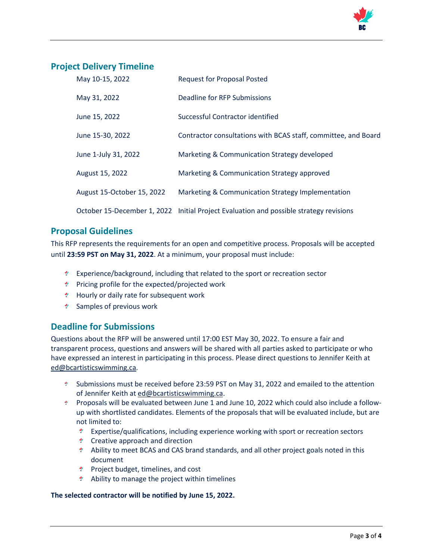

## **Project Delivery Timeline**

| May 10-15, 2022            | <b>Request for Proposal Posted</b>                                                     |
|----------------------------|----------------------------------------------------------------------------------------|
| May 31, 2022               | Deadline for RFP Submissions                                                           |
| June 15, 2022              | Successful Contractor identified                                                       |
| June 15-30, 2022           | Contractor consultations with BCAS staff, committee, and Board                         |
| June 1-July 31, 2022       | Marketing & Communication Strategy developed                                           |
| August 15, 2022            | Marketing & Communication Strategy approved                                            |
| August 15-October 15, 2022 | Marketing & Communication Strategy Implementation                                      |
|                            | October 15-December 1, 2022 Initial Project Evaluation and possible strategy revisions |

#### **Proposal Guidelines**

This RFP represents the requirements for an open and competitive process. Proposals will be accepted until **23:59 PST on May 31, 2022**. At a minimum, your proposal must include:

- Experience/background, including that related to the sport or recreation sector
- \* Pricing profile for the expected/projected work
- \* Hourly or daily rate for subsequent work
- \* Samples of previous work

### **Deadline for Submissions**

Questions about the RFP will be answered until 17:00 EST May 30, 2022. To ensure a fair and transparent process, questions and answers will be shared with all parties asked to participate or who have expressed an interest in participating in this process. Please direct questions to Jennifer Keith at [ed@bcartisticswimming.ca.](mailto:ed@bcartisticswimming.ca)

- Submissions must be received before 23:59 PST on May 31, 2022 and emailed to the attention of Jennifer Keith at [ed@bcartisticswimming.ca.](mailto:ed@bcartisticswimming.ca)
- \* Proposals will be evaluated between June 1 and June 10, 2022 which could also include a followup with shortlisted candidates. Elements of the proposals that will be evaluated include, but are not limited to:
	- Expertise/qualifications, including experience working with sport or recreation sectors
	- \* Creative approach and direction
	- Ability to meet BCAS and CAS brand standards, and all other project goals noted in this document
	- $*$  Project budget, timelines, and cost
	- Ability to manage the project within timelines

#### **The selected contractor will be notified by June 15, 2022.**